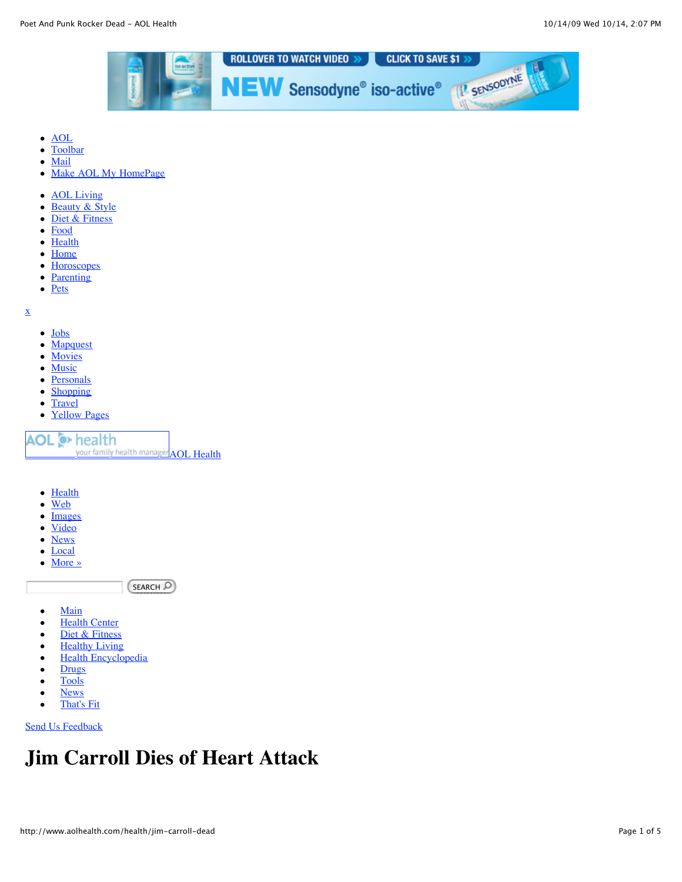

- [AOL](http://www.aol.com/)
- [Toolbar](http://toolbar.aol.com/)  $\bullet$
- $\bullet$ [Mail](http://webmail.aol.com/?_AOLLOCAL=mail)
- [Make AOL My HomePage](http://www.aol.com/mksplash.adp)  $\bullet$
- [AOL Living](http://living.aol.com/)
- **[Beauty & Style](http://www.stylelist.com/)**  $\bullet$
- [Diet & Fitness](http://www.aolhealth.com/diet-fitness)  $\bullet$
- [Food](http://food.aol.com/)  $\bullet$
- **[Health](http://www.aolhealth.com/health)**  $\bullet$
- **[Home](http://home.aol.com/)**  $\bullet$
- **[Horoscopes](http://horoscopes.aol.com/)**  $\bullet$
- **[Parenting](http://www.parentdish.com/)**  $\bullet$
- $\bullet$  [Pets](http://www.pawnation.com/)

[x](http://www.aolhealth.com/health/jim-carroll-dead)

- [Jobs](http://aol.careerbuilder.com/JobSeeker/Jobs/JobResults.aspx?cbRecursionCnt=1&cbsid=da2a3f86fab5494f800236b1520fc3dc-230665956-JF-5&strCrit=rawWords%3D)
- **[Mapquest](http://www.mapquest.com/maps/map.adp?formtype=address&country=US&popflag=0&cat=)**  $\bullet$
- [Movies](http://movies.aol.com/search/dvdresults.adp?query=)
- [Music](http://music.aol.com/search/artistresults.adp?query=)  $\bullet$
- $\bullet$ **[Personals](http://personals.aol.com/?invocationType=topsearchbox&query=)**
- [Shopping](http://shopping.aol.com/)  $\bullet$
- **[Travel](http://travel.aol.com/search?invocationType=topsearchbox&query=)**  $\bullet$
- $\bullet$
- [Yellow Pages](http://yellowpages.aol.com/main.adp?_diraction=main&invocationType=topsearchbox&query=)

**O** health your family health manager **[AOL Health](http://www.aolhealth.com/)** 

- **[Health](http://healthsearch.aol.com/search?invocationType=hdbody&q1=)**  $\bullet$
- [Web](Http://search.aol.com/aolcom/search?invocationType=hdbody&query=)  $\bullet$
- [Images](Http://search.aol.com/aolcom/image?invocationType=hdbody&query=)  $\bullet$
- [Video](http://video.aol.com/searchresults?invocationType=hdbody&query=)  $\bullet$
- **[News](http://search.aol.com/aolcom/news?invocationType=hdbody&query=)**  $\bullet$
- [Local](http://sbgw.search.aol.com/kw/exec?lookupType=11&sourceType=416&text=&q=)  $\bullet$
- [More »](http://www.aolhealth.com/health/jim-carroll-dead)  $\bullet$

 $[SEARCH \ \overline{O}]$ 

- [Main](http://www.aolhealth.com/)  $\bullet$
- **[Health Center](http://www.aolhealth.com/health)**  $\bullet$
- [Diet & Fitness](http://www.aolhealth.com/diet-fitness)  $\bullet$
- **[Healthy Living](http://www.aolhealth.com/healthy-living)**  $\bullet$
- [Health Encyclopedia](http://www.aolhealth.com/encyclopedia/health)  $\bullet$
- **[Drugs](http://www.aolhealth.com/encyclopedia/drugs)**  $\bullet$
- [Tools](http://www.aolhealth.com/tools-and-resources)  $\bullet$
- **[News](http://news.aol.com/health)**  $\bullet$
- [That's Fit](http://www.thatsfit.com/)  $\bullet$

[Send Us Feedback](javascript:fBo2()

# **Jim Carroll Dies of Heart Attack**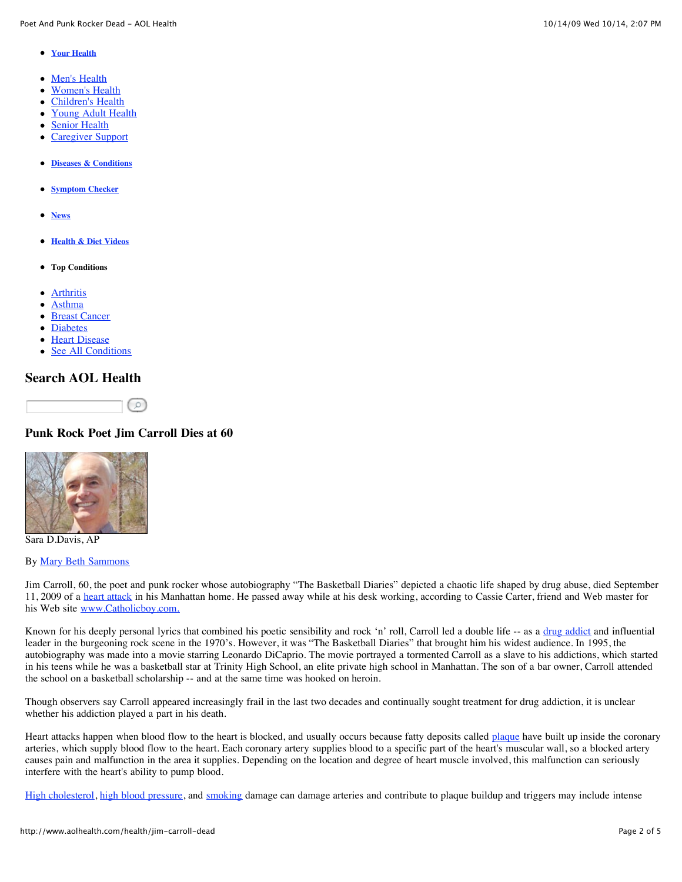- **[Your Health](http://aolhealth.com/health)**
- [Men's Health](http://aolhealth.com/health/mens-health)
- $\bullet$ [Women's Health](http://aolhealth.com/health/womens-health)
- [Children's Health](http://aolhealth.com/health/child-health)  $\bullet$
- [Young Adult Health](http://aolhealth.com/health/young-adult)  $\bullet$
- [Senior Health](http://aolhealth.com/health/senior-health)  $\bullet$
- [Caregiver Support](http://aolhealth.com/health/caregiver-support)
- **[Diseases & Conditions](http://aolhealth.com/condition-center)**
- **[Symptom Checker](http://aolhealth.com/symptom-checker)**
- **[News](http://news.aol.com/health)**
- **[Health & Diet Videos](http://aolhealth.com/video)**
- **Top Conditions**
- **[Arthritis](http://www.aolhealth.com/condition-center/arthritis)**  $\bullet$
- [Asthma](http://www.aolhealth.com/condition-center/asthma)
- [Breast Cancer](http://www.aolhealth.com/condition-center/breast-cancer)  $\bullet$
- **[Diabetes](http://www.aolhealth.com/condition-center/diabetes)**  $\bullet$
- [Heart Disease](http://www.aolhealth.com/condition-center/heart-disease)  $\bullet$
- [See All Conditions](http://www.aolhealth.com/condition-center)

# **Search AOL Health**



### **Punk Rock Poet Jim Carroll Dies at 60**



Sara D.Davis, AP

### By [Mary Beth Sammons](http://www.aolhealth.com/bio/mary-beth-sammons)

Jim Carroll, 60, the poet and punk rocker whose autobiography "The Basketball Diaries" depicted a chaotic life shaped by drug abuse, died September 11, 2009 of a [heart attack](http://www.aolhealth.com/heart-disease/learn-about-it/dealing-with-a-heart-attack) in his Manhattan home. He passed away while at his desk working, according to Cassie Carter, friend and Web master for his Web site [www.Catholicboy.com.](http://catholicboy.com/)

Known for his deeply personal lyrics that combined his poetic sensibility and rock 'n' roll, Carroll led a double life -- as a [drug addict](http://www.aolhealth.com/symptom/alcohol-and-drug-problems/topic-overview) and influential leader in the burgeoning rock scene in the 1970's. However, it was "The Basketball Diaries" that brought him his widest audience. In 1995, the autobiography was made into a movie starring Leonardo DiCaprio. The movie portrayed a tormented Carroll as a slave to his addictions, which started in his teens while he was a basketball star at Trinity High School, an elite private high school in Manhattan. The son of a bar owner, Carroll attended the school on a basketball scholarship -- and at the same time was hooked on heroin.

Though observers say Carroll appeared increasingly frail in the last two decades and continually sought treatment for drug addiction, it is unclear whether his addiction played a part in his death.

Heart attacks happen when blood flow to the heart is blocked, and usually occurs because fatty deposits called [plaque](http://www.aolhealth.com/heart-disease/learn-about-it/what-is-heart-disease/the-coronary-cascade) have built up inside the coronary arteries, which supply blood flow to the heart. Each coronary artery supplies blood to a specific part of the heart's muscular wall, so a blocked artery causes pain and malfunction in the area it supplies. Depending on the location and degree of heart muscle involved, this malfunction can seriously interfere with the heart's ability to pump blood.

[High cholesterol](http://www.aolhealth.com/health/%E2%80%9Dhttp://www.aolhealth.com/tools/cholesterol-quiz%22), [high blood pressure](http://www.aolhealth.com/conditions/high-blood-pressure-hypertension), and [smoking](http://www.aolhealth.com/condition-center/smoking-cessation) damage can damage arteries and contribute to plaque buildup and triggers may include intense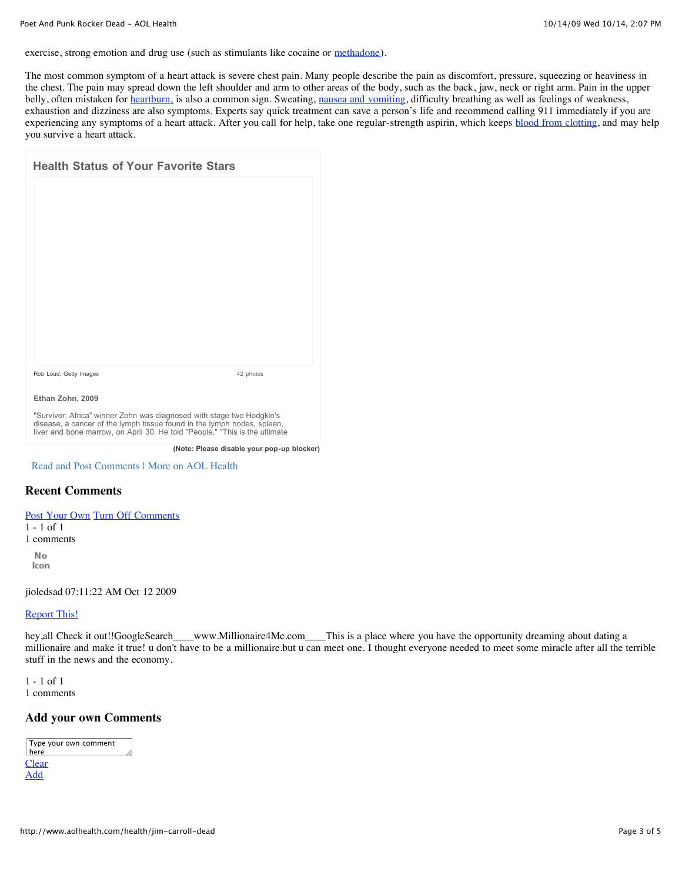exercise, strong emotion and drug use (such as stimulants like cocaine or [methadone\)](http://www.aolhealth.com/drugs/methadone-for-alcohol-and-drug-abuse).

The most common symptom of a heart attack is severe chest pain. Many people describe the pain as discomfort, pressure, squeezing or heaviness in the chest. The pain may spread down the left shoulder and arm to other areas of the body, such as the back, jaw, neck or right arm. Pain in the upper belly, often mistaken for [heartburn,](http://www.aolhealth.com/condition-center/digestive-disorders/heartburn) is also a common sign. Sweating, [nausea and vomiting](http://www.aolhealth.com/symptom-checker/vomiting-or-nausea-in-children), difficulty breathing as well as feelings of weakness, exhaustion and dizziness are also symptoms. Experts say quick treatment can save a person's life and recommend calling 911 immediately if you are experiencing any symptoms of a heart attack. After you call for help, take one regular-strength aspirin, which keeps **[blood from clotting](http://www.aolhealth.com/conditions/a-better-way-to-prevent-blood-clots)**, and may help you survive a heart attack.

| <b>Health Status of Your Favorite Stars</b> |           |
|---------------------------------------------|-----------|
|                                             |           |
|                                             |           |
|                                             |           |
|                                             |           |
|                                             |           |
|                                             |           |
|                                             |           |
|                                             |           |
| Rob Loud, Getty Images                      | 42 photos |
| Ethan Zohn, 2009                            |           |

"Survivor: Africa" winner Zohn was diagnosed with stage two Hodgkin's disease, a cancer of the lymph tissue found in the lymph nodes, spleen, liver and bone marrow, on April 30. He told "People," "This is the ultimate

**(Note: Please disable your pop-up blocker)**

[Read and Post Comments](http://www.aolhealth.com/health/jim-carroll-dead#addNewCmmnt) | [More on AOL Health](http://www.aolhealth.com/)

### **Recent Comments**

[Post Your Own](http://www.aolhealth.com/health/jim-carroll-dead#addNewCmmnt) [Turn Off Comments](javascript:void(0);)

- $\text{sf}$  1 1 - 1 of 1
- $m$ ents 1 comments

No Icon

jioledsad 07:11:22 AM Oct 12 2009

# **[Report This!](mailto:AIMPagesSpinner@aol.com?subject=News%20Comments%20Complaint:%20http://www.aolhealth.com/health/jim-carroll-dead&body=URL:%20http://www.aolhealth.com/health/jim-carroll-dead%0A%0ACommentId:%20urn:x-aol:oid:mddn:f9389806-b71f-11de-be4b-6be5654ecbf9%0A%0ADate/Time%20of%20Report:%20Oct%2014,%202009%2014:05:52%0A%0AComments:%20)**

 $B_{\text{back}}$  it out  $B_{\text{cond}}$  (begins as  $B_{\text{cond}}$  ). hey,all Check it out!!GoogleSearch\_\_\_www.Millionaire4Me.com\_\_\_This is a place where you have the opportunity dreaming about dating a<br>millionaire and make it truel u don't have to be a millionaire but u can meet one. I thou millionaire and make it true! u don't have to be a millionaire.but u can meet one. I thought everyone needed to meet some miracle after all the terrible<br>etyff in the navy and the esenemy stuff in the news and the economy.

 $\epsilon$ f 1  $t_1$  the salivary gland are benign and about 70% to 80% to 80% to 80% to 80% to 80% to 80% to 80% to 80% to 80% to 80% to 80% to 80% to 80% to 80% to 80% to 80% to 80% to 80% to 80% to 80% to 80% to 80% to 80% to 80% to  $\overline{\phantom{a}}$ 1 - 1 of 1 1 comments

# **Add your own Comments**

Bryan Bedder, Getty Images

| Type your own comment |  |
|-----------------------|--|
| here                  |  |
| Clear                 |  |
| Add                   |  |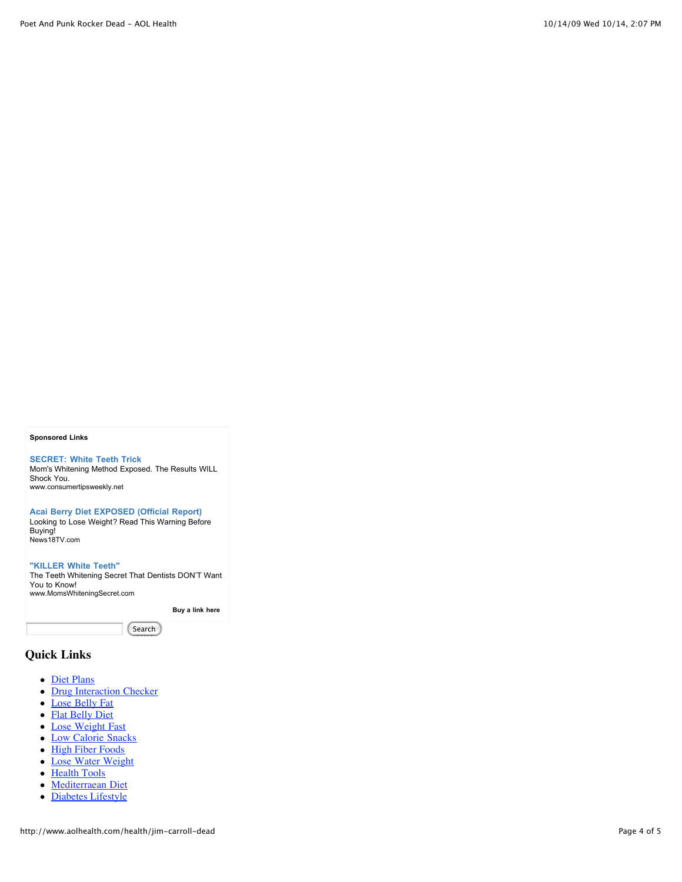#### **Sponsored Links**

**[SECRET: White Teeth Trick](javascript:void(0);)** [Mom's Whitening Method Exposed. The Results WILL](javascript:void(0);) Shock You. [www.consumertipsweekly.net](javascript:void(0);)

**[Acai Berry Diet EXPOSED \(Official Report\)](javascript:void(0);)**

[Looking to Lose Weight? Read This Warning Before](javascript:void(0);) Buying! [News18TV.com](javascript:void(0);)

**["KILLER White Teeth"](javascript:void(0);)** [The Teeth Whitening Secret That Dentists DON'T Want](javascript:void(0);) You to Know! [www.MomsWhiteningSecret.com](javascript:void(0);)

**[Buy a link here](http://aolbody.adsonar.com/admin/advertisers/indexPl.jsp)** 

Search

### **Quick Links**

- [Diet Plans](http://www.aolhealth.com/diet)
- [Drug Interaction Checker](http://drugchecker.aol.com/)
- [Lose Belly Fat](http://www.aolhealth.com/fitness/basics/lose-belly-fat)
- [Flat Belly Diet](http://www.aolhealth.com/diet/basics/flat-belly-diet-success)
- [Lose Weight Fast](http://www.aolhealth.com/diet/basics/lose-weight-fast)
- [Low Calorie Snacks](http://www.aolhealth.com/diet/basics/low-calorie-snacks)
- [High Fiber Foods](http://www.aolhealth.com/diet/basics/fiber-foods)
- [Lose Water Weight](http://www.aolhealth.com/diet/weight-loss-program/lose-water-weight)
- [Health Tools](http://www.aolhealth.com/tools-and-resources)
- [Mediterraean Diet](http://www.aolhealth.com/diet/mediterranean-diet)
- [Diabetes Lifestyle](http://www.aolhealth.com/condition-center/diabetes/diabetes-lifestyle)